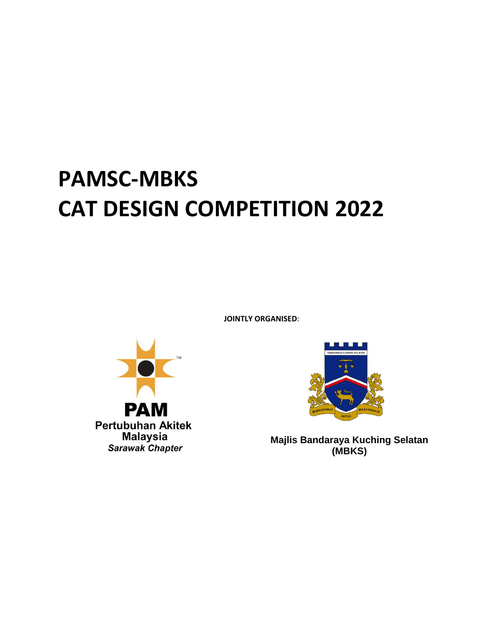# **PAMSC-MBKS CAT DESIGN COMPETITION 2022**

**JOINTLY ORGANISED**:





**Majlis Bandaraya Kuching Selatan (MBKS)**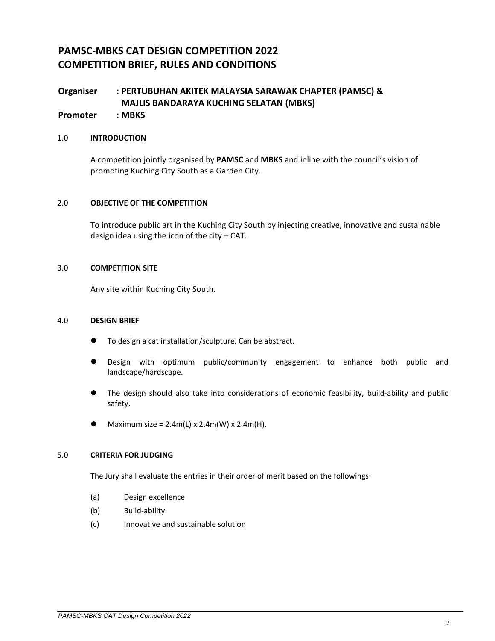### **PAMSC-MBKS CAT DESIGN COMPETITION 2022 COMPETITION BRIEF, RULES AND CONDITIONS**

#### **Organiser : PERTUBUHAN AKITEK MALAYSIA SARAWAK CHAPTER (PAMSC) & MAJLIS BANDARAYA KUCHING SELATAN (MBKS)**

**Promoter : MBKS**

#### 1.0 **INTRODUCTION**

A competition jointly organised by **PAMSC** and **MBKS** and inline with the council's vision of promoting Kuching City South as a Garden City.

#### 2.0 **OBJECTIVE OF THE COMPETITION**

To introduce public art in the Kuching City South by injecting creative, innovative and sustainable design idea using the icon of the city – CAT.

#### 3.0 **COMPETITION SITE**

Any site within Kuching City South.

#### 4.0 **DESIGN BRIEF**

- To design a cat installation/sculpture. Can be abstract.
- Design with optimum public/community engagement to enhance both public and landscape/hardscape.
- The design should also take into considerations of economic feasibility, build-ability and public safety.
- $\bullet$  Maximum size = 2.4m(L) x 2.4m(W) x 2.4m(H).

#### 5.0 **CRITERIA FOR JUDGING**

The Jury shall evaluate the entries in their order of merit based on the followings:

- (a) Design excellence
- (b) Build-ability
- (c) Innovative and sustainable solution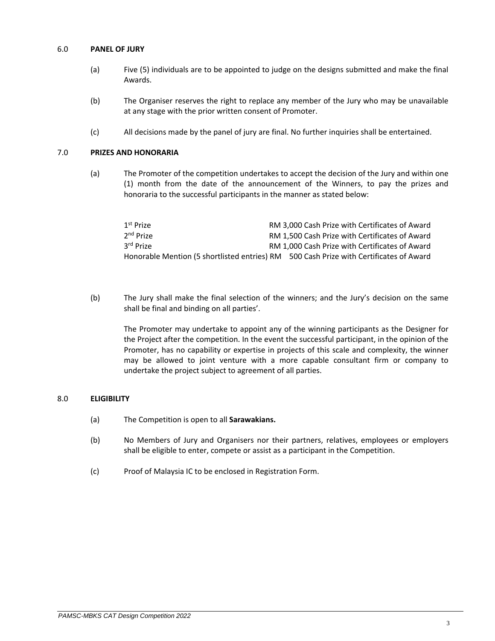#### 6.0 **PANEL OF JURY**

- (a) Five (5) individuals are to be appointed to judge on the designs submitted and make the final Awards.
- (b) The Organiser reserves the right to replace any member of the Jury who may be unavailable at any stage with the prior written consent of Promoter.
- (c) All decisions made by the panel of jury are final. No further inquiries shall be entertained.

#### 7.0 **PRIZES AND HONORARIA**

(a) The Promoter of the competition undertakes to accept the decision of the Jury and within one (1) month from the date of the announcement of the Winners, to pay the prizes and honoraria to the successful participants in the manner as stated below:

| $1st$ Prize                                                                            |  |  | RM 3.000 Cash Prize with Certificates of Award |  |
|----------------------------------------------------------------------------------------|--|--|------------------------------------------------|--|
| 2 <sup>nd</sup> Prize                                                                  |  |  | RM 1.500 Cash Prize with Certificates of Award |  |
| 3rd Prize                                                                              |  |  | RM 1,000 Cash Prize with Certificates of Award |  |
| Honorable Mention (5 shortlisted entries) RM 500 Cash Prize with Certificates of Award |  |  |                                                |  |

(b) The Jury shall make the final selection of the winners; and the Jury's decision on the same shall be final and binding on all parties'.

The Promoter may undertake to appoint any of the winning participants as the Designer for the Project after the competition. In the event the successful participant, in the opinion of the Promoter, has no capability or expertise in projects of this scale and complexity, the winner may be allowed to joint venture with a more capable consultant firm or company to undertake the project subject to agreement of all parties.

#### 8.0 **ELIGIBILITY**

- (a) The Competition is open to all **Sarawakians.**
- (b) No Members of Jury and Organisers nor their partners, relatives, employees or employers shall be eligible to enter, compete or assist as a participant in the Competition.
- (c) Proof of Malaysia IC to be enclosed in Registration Form.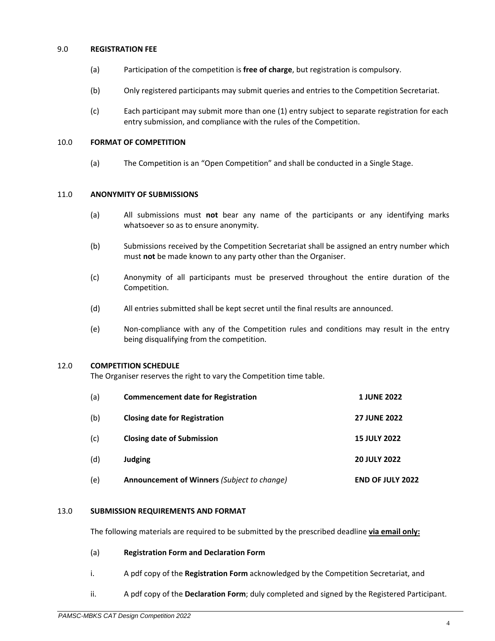#### 9.0 **REGISTRATION FEE**

- (a) Participation of the competition is **free of charge**, but registration is compulsory.
- (b) Only registered participants may submit queries and entries to the Competition Secretariat.
- (c) Each participant may submit more than one (1) entry subject to separate registration for each entry submission, and compliance with the rules of the Competition.

#### 10.0 **FORMAT OF COMPETITION**

(a) The Competition is an "Open Competition" and shall be conducted in a Single Stage.

#### 11.0 **ANONYMITY OF SUBMISSIONS**

- (a) All submissions must **not** bear any name of the participants or any identifying marks whatsoever so as to ensure anonymity.
- (b) Submissions received by the Competition Secretariat shall be assigned an entry number which must **not** be made known to any party other than the Organiser.
- (c) Anonymity of all participants must be preserved throughout the entire duration of the Competition.
- (d) All entries submitted shall be kept secret until the final results are announced.
- (e) Non-compliance with any of the Competition rules and conditions may result in the entry being disqualifying from the competition.

#### 12.0 **COMPETITION SCHEDULE**

The Organiser reserves the right to vary the Competition time table.

| (a) | <b>Commencement date for Registration</b>          | <b>1 JUNE 2022</b>      |
|-----|----------------------------------------------------|-------------------------|
| (b) | <b>Closing date for Registration</b>               | <b>27 JUNE 2022</b>     |
| (c) | <b>Closing date of Submission</b>                  | <b>15 JULY 2022</b>     |
| (d) | <b>Judging</b>                                     | <b>20 JULY 2022</b>     |
| (e) | <b>Announcement of Winners (Subject to change)</b> | <b>END OF JULY 2022</b> |

#### 13.0 **SUBMISSION REQUIREMENTS AND FORMAT**

The following materials are required to be submitted by the prescribed deadline **via email only:**

- (a) **Registration Form and Declaration Form**
- i. A pdf copy of the **Registration Form** acknowledged by the Competition Secretariat, and
- ii. A pdf copy of the **Declaration Form**; duly completed and signed by the Registered Participant.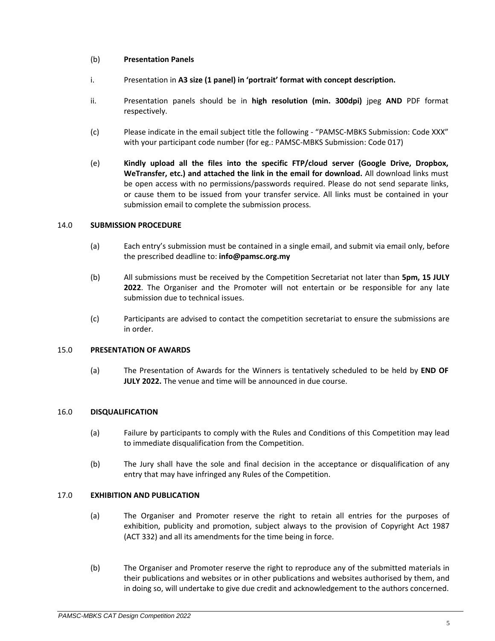#### (b) **Presentation Panels**

- i. Presentation in **A3 size (1 panel) in 'portrait' format with concept description.**
- ii. Presentation panels should be in **high resolution (min. 300dpi)** jpeg **AND** PDF format respectively.
- (c) Please indicate in the email subject title the following "PAMSC-MBKS Submission: Code XXX" with your participant code number (for eg.: PAMSC-MBKS Submission: Code 017)
- (e) **Kindly upload all the files into the specific FTP/cloud server (Google Drive, Dropbox, WeTransfer, etc.) and attached the link in the email for download.** All download links must be open access with no permissions/passwords required. Please do not send separate links, or cause them to be issued from your transfer service. All links must be contained in your submission email to complete the submission process.

#### 14.0 **SUBMISSION PROCEDURE**

- (a) Each entry's submission must be contained in a single email, and submit via email only, before the prescribed deadline to: **info@pamsc.org.my**
- (b) All submissions must be received by the Competition Secretariat not later than **5pm, 15 JULY 2022**. The Organiser and the Promoter will not entertain or be responsible for any late submission due to technical issues.
- (c) Participants are advised to contact the competition secretariat to ensure the submissions are in order.

#### 15.0 **PRESENTATION OF AWARDS**

(a) The Presentation of Awards for the Winners is tentatively scheduled to be held by **END OF JULY 2022.** The venue and time will be announced in due course.

#### 16.0 **DISQUALIFICATION**

- (a) Failure by participants to comply with the Rules and Conditions of this Competition may lead to immediate disqualification from the Competition.
- (b) The Jury shall have the sole and final decision in the acceptance or disqualification of any entry that may have infringed any Rules of the Competition.

#### 17.0 **EXHIBITION AND PUBLICATION**

- (a) The Organiser and Promoter reserve the right to retain all entries for the purposes of exhibition, publicity and promotion, subject always to the provision of Copyright Act 1987 (ACT 332) and all its amendments for the time being in force.
- (b) The Organiser and Promoter reserve the right to reproduce any of the submitted materials in their publications and websites or in other publications and websites authorised by them, and in doing so, will undertake to give due credit and acknowledgement to the authors concerned.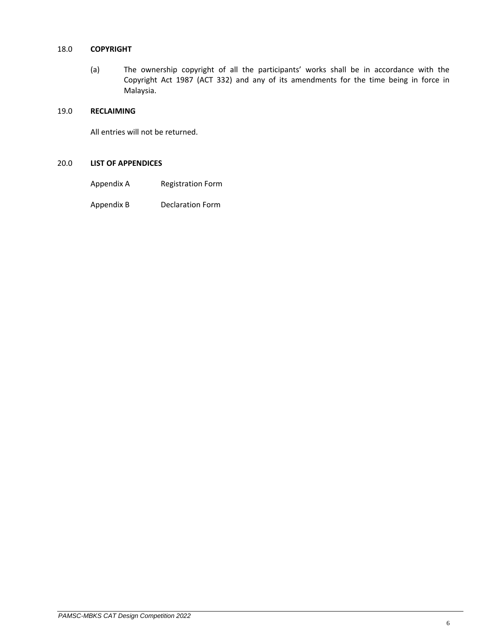#### 18.0 **COPYRIGHT**

(a) The ownership copyright of all the participants' works shall be in accordance with the Copyright Act 1987 (ACT 332) and any of its amendments for the time being in force in Malaysia.

#### 19.0 **RECLAIMING**

All entries will not be returned.

#### 20.0 **LIST OF APPENDICES**

- Appendix A Registration Form
- Appendix B Declaration Form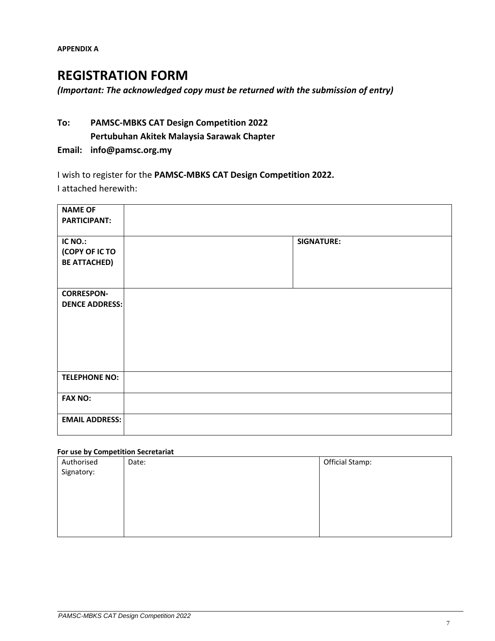**APPENDIX A**

## **REGISTRATION FORM**

*(Important: The acknowledged copy must be returned with the submission of entry)*

**To: PAMSC-MBKS CAT Design Competition 2022 Pertubuhan Akitek Malaysia Sarawak Chapter**

**Email: info@pamsc.org.my**

I wish to register for the **PAMSC-MBKS CAT Design Competition 2022.** I attached herewith:

| <b>NAME OF</b><br><b>PARTICIPANT:</b>           |                   |
|-------------------------------------------------|-------------------|
| IC NO.:<br>(COPY OF ICTO<br><b>BE ATTACHED)</b> | <b>SIGNATURE:</b> |
| <b>CORRESPON-</b><br><b>DENCE ADDRESS:</b>      |                   |
| <b>TELEPHONE NO:</b>                            |                   |
| <b>FAX NO:</b>                                  |                   |
| <b>EMAIL ADDRESS:</b>                           |                   |

#### **For use by Competition Secretariat**

| Authorised | Date: | <b>Official Stamp:</b> |
|------------|-------|------------------------|
| Signatory: |       |                        |
|            |       |                        |
|            |       |                        |
|            |       |                        |
|            |       |                        |
|            |       |                        |
|            |       |                        |